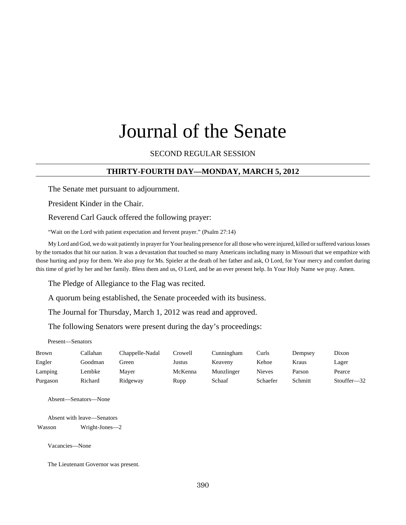# Journal of the Senate

#### SECOND REGULAR SESSION

## **THIRTY-FOURTH DAY—MONDAY, MARCH 5, 2012**

The Senate met pursuant to adjournment.

President Kinder in the Chair.

Reverend Carl Gauck offered the following prayer:

"Wait on the Lord with patient expectation and fervent prayer." (Psalm 27:14)

My Lord and God, we do wait patiently in prayer for Your healing presence for all those who were injured, killed or suffered various losses by the tornados that hit our nation. It was a devastation that touched so many Americans including many in Missouri that we empathize with those hurting and pray for them. We also pray for Ms. Spieler at the death of her father and ask, O Lord, for Your mercy and comfort during this time of grief by her and her family. Bless them and us, O Lord, and be an ever present help. In Your Holy Name we pray. Amen.

The Pledge of Allegiance to the Flag was recited.

A quorum being established, the Senate proceeded with its business.

The Journal for Thursday, March 1, 2012 was read and approved.

The following Senators were present during the day's proceedings:

Present—Senators

| <b>Brown</b> | Callahan | Chappelle-Nadal | Crowell. | Cunningham | Curls    | Dempsey | Dixon                  |
|--------------|----------|-----------------|----------|------------|----------|---------|------------------------|
| Engler       | Goodman  | Green           | Justus   | Keaveny    | Kehoe    | Kraus   | Lager                  |
| Lamping      | Lembke   | Maver           | McKenna  | Munzlinger | Nieves   | Parson  | Pearce                 |
| Purgason     | Richard  | Ridgeway        | Rupp     | Schaaf     | Schaefer | Schmitt | Stouffer <sub>32</sub> |

Absent—Senators—None

Absent with leave—Senators Wasson Wright-Jones—2

Vacancies—None

The Lieutenant Governor was present.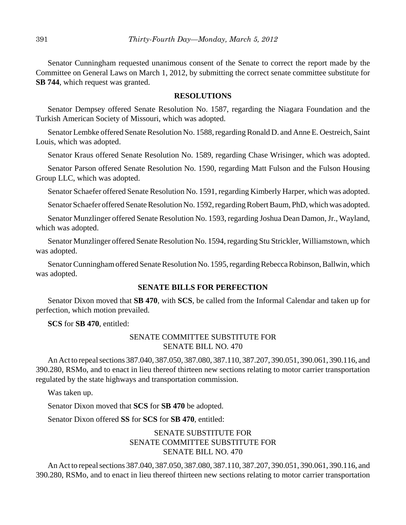Senator Cunningham requested unanimous consent of the Senate to correct the report made by the Committee on General Laws on March 1, 2012, by submitting the correct senate committee substitute for **SB 744**, which request was granted.

#### **RESOLUTIONS**

Senator Dempsey offered Senate Resolution No. 1587, regarding the Niagara Foundation and the Turkish American Society of Missouri, which was adopted.

Senator Lembke offered Senate Resolution No. 1588, regarding Ronald D. and Anne E. Oestreich, Saint Louis, which was adopted.

Senator Kraus offered Senate Resolution No. 1589, regarding Chase Wrisinger, which was adopted.

Senator Parson offered Senate Resolution No. 1590, regarding Matt Fulson and the Fulson Housing Group LLC, which was adopted.

Senator Schaefer offered Senate Resolution No. 1591, regarding Kimberly Harper, which was adopted.

Senator Schaefer offered Senate Resolution No. 1592, regarding Robert Baum, PhD, which was adopted.

Senator Munzlinger offered Senate Resolution No. 1593, regarding Joshua Dean Damon, Jr., Wayland, which was adopted.

Senator Munzlinger offered Senate Resolution No. 1594, regarding Stu Strickler, Williamstown, which was adopted.

Senator Cunningham offered Senate Resolution No. 1595, regarding Rebecca Robinson, Ballwin, which was adopted.

#### **SENATE BILLS FOR PERFECTION**

Senator Dixon moved that **SB 470**, with **SCS**, be called from the Informal Calendar and taken up for perfection, which motion prevailed.

**SCS** for **SB 470**, entitled:

## SENATE COMMITTEE SUBSTITUTE FOR SENATE BILL NO. 470

An Act to repeal sections 387.040, 387.050, 387.080, 387.110, 387.207, 390.051, 390.061, 390.116, and 390.280, RSMo, and to enact in lieu thereof thirteen new sections relating to motor carrier transportation regulated by the state highways and transportation commission.

Was taken up.

Senator Dixon moved that **SCS** for **SB 470** be adopted.

Senator Dixon offered **SS** for **SCS** for **SB 470**, entitled:

## SENATE SUBSTITUTE FOR SENATE COMMITTEE SUBSTITUTE FOR SENATE BILL NO. 470

An Act to repeal sections 387.040, 387.050, 387.080, 387.110, 387.207, 390.051, 390.061, 390.116, and 390.280, RSMo, and to enact in lieu thereof thirteen new sections relating to motor carrier transportation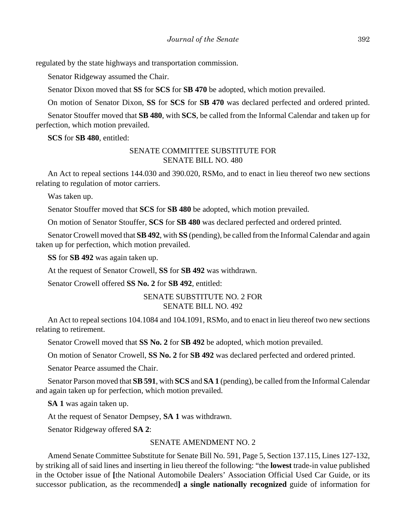regulated by the state highways and transportation commission.

Senator Ridgeway assumed the Chair.

Senator Dixon moved that **SS** for **SCS** for **SB 470** be adopted, which motion prevailed.

On motion of Senator Dixon, **SS** for **SCS** for **SB 470** was declared perfected and ordered printed.

Senator Stouffer moved that **SB 480**, with **SCS**, be called from the Informal Calendar and taken up for perfection, which motion prevailed.

**SCS** for **SB 480**, entitled:

## SENATE COMMITTEE SUBSTITUTE FOR SENATE BILL NO. 480

An Act to repeal sections 144.030 and 390.020, RSMo, and to enact in lieu thereof two new sections relating to regulation of motor carriers.

Was taken up.

Senator Stouffer moved that **SCS** for **SB 480** be adopted, which motion prevailed.

On motion of Senator Stouffer, **SCS** for **SB 480** was declared perfected and ordered printed.

Senator Crowell moved that **SB 492**, with **SS** (pending), be called from the Informal Calendar and again taken up for perfection, which motion prevailed.

**SS** for **SB 492** was again taken up.

At the request of Senator Crowell, **SS** for **SB 492** was withdrawn.

Senator Crowell offered **SS No. 2** for **SB 492**, entitled:

## SENATE SUBSTITUTE NO. 2 FOR SENATE BILL NO. 492

An Act to repeal sections 104.1084 and 104.1091, RSMo, and to enact in lieu thereof two new sections relating to retirement.

Senator Crowell moved that **SS No. 2** for **SB 492** be adopted, which motion prevailed.

On motion of Senator Crowell, **SS No. 2** for **SB 492** was declared perfected and ordered printed.

Senator Pearce assumed the Chair.

Senator Parson moved that **SB 591**, with **SCS** and **SA 1** (pending), be called from the Informal Calendar and again taken up for perfection, which motion prevailed.

**SA 1** was again taken up.

At the request of Senator Dempsey, **SA 1** was withdrawn.

Senator Ridgeway offered **SA 2**:

#### SENATE AMENDMENT NO. 2

Amend Senate Committee Substitute for Senate Bill No. 591, Page 5, Section 137.115, Lines 127-132, by striking all of said lines and inserting in lieu thereof the following: "the **lowest** trade-in value published in the October issue of **[**the National Automobile Dealers' Association Official Used Car Guide, or its successor publication, as the recommended**] a single nationally recognized** guide of information for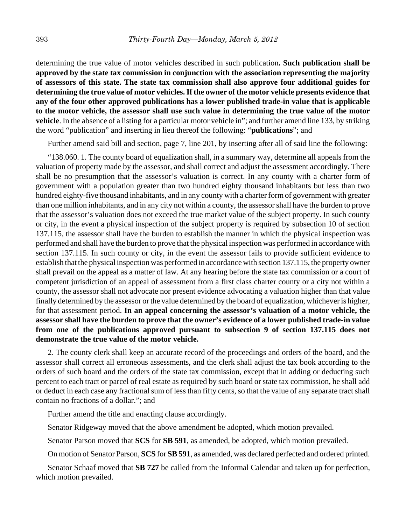determining the true value of motor vehicles described in such publication**. Such publication shall be approved by the state tax commission in conjunction with the association representing the majority of assessors of this state. The state tax commission shall also approve four additional guides for determining the true value of motor vehicles. If the owner of the motor vehicle presents evidence that any of the four other approved publications has a lower published trade-in value that is applicable to the motor vehicle, the assessor shall use such value in determining the true value of the motor vehicle**. In the absence of a listing for a particular motor vehicle in"; and further amend line 133, by striking the word "publication" and inserting in lieu thereof the following: "**publications**"; and

Further amend said bill and section, page 7, line 201, by inserting after all of said line the following:

"138.060. 1. The county board of equalization shall, in a summary way, determine all appeals from the valuation of property made by the assessor, and shall correct and adjust the assessment accordingly. There shall be no presumption that the assessor's valuation is correct. In any county with a charter form of government with a population greater than two hundred eighty thousand inhabitants but less than two hundred eighty-five thousand inhabitants, and in any county with a charter form of government with greater than one million inhabitants, and in any city not within a county, the assessor shall have the burden to prove that the assessor's valuation does not exceed the true market value of the subject property. In such county or city, in the event a physical inspection of the subject property is required by subsection 10 of section 137.115, the assessor shall have the burden to establish the manner in which the physical inspection was performed and shall have the burden to prove that the physical inspection was performed in accordance with section 137.115. In such county or city, in the event the assessor fails to provide sufficient evidence to establish that the physical inspection was performed in accordance with section 137.115, the property owner shall prevail on the appeal as a matter of law. At any hearing before the state tax commission or a court of competent jurisdiction of an appeal of assessment from a first class charter county or a city not within a county, the assessor shall not advocate nor present evidence advocating a valuation higher than that value finally determined by the assessor or the value determined by the board of equalization, whichever is higher, for that assessment period. **In an appeal concerning the assessor's valuation of a motor vehicle, the assessor shall have the burden to prove that the owner's evidence of a lower published trade-in value from one of the publications approved pursuant to subsection 9 of section 137.115 does not demonstrate the true value of the motor vehicle.**

2. The county clerk shall keep an accurate record of the proceedings and orders of the board, and the assessor shall correct all erroneous assessments, and the clerk shall adjust the tax book according to the orders of such board and the orders of the state tax commission, except that in adding or deducting such percent to each tract or parcel of real estate as required by such board or state tax commission, he shall add or deduct in each case any fractional sum of less than fifty cents, so that the value of any separate tract shall contain no fractions of a dollar."; and

Further amend the title and enacting clause accordingly.

Senator Ridgeway moved that the above amendment be adopted, which motion prevailed.

Senator Parson moved that **SCS** for **SB 591**, as amended, be adopted, which motion prevailed.

On motion of Senator Parson, **SCS** for **SB 591**, as amended, was declared perfected and ordered printed.

Senator Schaaf moved that **SB 727** be called from the Informal Calendar and taken up for perfection, which motion prevailed.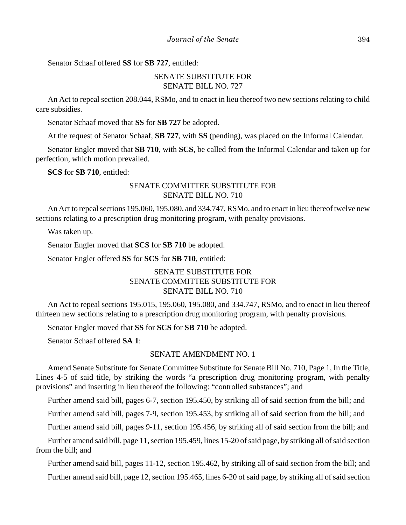Senator Schaaf offered **SS** for **SB 727**, entitled:

## SENATE SUBSTITUTE FOR SENATE BILL NO. 727

An Act to repeal section 208.044, RSMo, and to enact in lieu thereof two new sections relating to child care subsidies.

Senator Schaaf moved that **SS** for **SB 727** be adopted.

At the request of Senator Schaaf, **SB 727**, with **SS** (pending), was placed on the Informal Calendar.

Senator Engler moved that **SB 710**, with **SCS**, be called from the Informal Calendar and taken up for perfection, which motion prevailed.

**SCS** for **SB 710**, entitled:

## SENATE COMMITTEE SUBSTITUTE FOR SENATE BILL NO. 710

An Act to repeal sections 195.060, 195.080, and 334.747, RSMo, and to enact in lieu thereof twelve new sections relating to a prescription drug monitoring program, with penalty provisions.

Was taken up.

Senator Engler moved that **SCS** for **SB 710** be adopted.

Senator Engler offered **SS** for **SCS** for **SB 710**, entitled:

# SENATE SUBSTITUTE FOR SENATE COMMITTEE SUBSTITUTE FOR SENATE BILL NO. 710

An Act to repeal sections 195.015, 195.060, 195.080, and 334.747, RSMo, and to enact in lieu thereof thirteen new sections relating to a prescription drug monitoring program, with penalty provisions.

Senator Engler moved that **SS** for **SCS** for **SB 710** be adopted.

Senator Schaaf offered **SA 1**:

## SENATE AMENDMENT NO. 1

Amend Senate Substitute for Senate Committee Substitute for Senate Bill No. 710, Page 1, In the Title, Lines 4-5 of said title, by striking the words "a prescription drug monitoring program, with penalty provisions" and inserting in lieu thereof the following: "controlled substances"; and

Further amend said bill, pages 6-7, section 195.450, by striking all of said section from the bill; and

Further amend said bill, pages 7-9, section 195.453, by striking all of said section from the bill; and

Further amend said bill, pages 9-11, section 195.456, by striking all of said section from the bill; and

Further amend said bill, page 11, section 195.459, lines 15-20 of said page, by striking all of said section from the bill; and

Further amend said bill, pages 11-12, section 195.462, by striking all of said section from the bill; and Further amend said bill, page 12, section 195.465, lines 6-20 of said page, by striking all of said section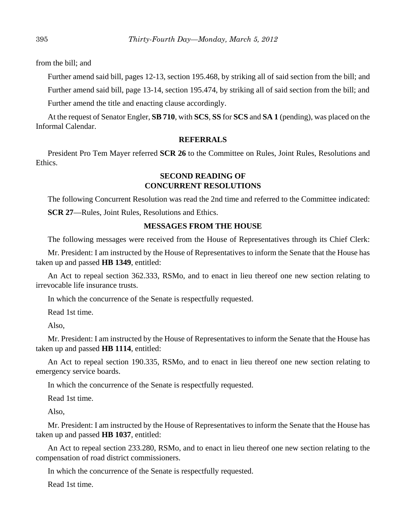from the bill; and

Further amend said bill, pages 12-13, section 195.468, by striking all of said section from the bill; and

Further amend said bill, page 13-14, section 195.474, by striking all of said section from the bill; and

Further amend the title and enacting clause accordingly.

At the request of Senator Engler, **SB 710**, with **SCS**, **SS** for **SCS** and **SA 1** (pending), was placed on the Informal Calendar.

## **REFERRALS**

President Pro Tem Mayer referred **SCR 26** to the Committee on Rules, Joint Rules, Resolutions and Ethics.

## **SECOND READING OF CONCURRENT RESOLUTIONS**

The following Concurrent Resolution was read the 2nd time and referred to the Committee indicated:

**SCR 27**—Rules, Joint Rules, Resolutions and Ethics.

#### **MESSAGES FROM THE HOUSE**

The following messages were received from the House of Representatives through its Chief Clerk:

Mr. President: I am instructed by the House of Representatives to inform the Senate that the House has taken up and passed **HB 1349**, entitled:

An Act to repeal section 362.333, RSMo, and to enact in lieu thereof one new section relating to irrevocable life insurance trusts.

In which the concurrence of the Senate is respectfully requested.

Read 1st time.

Also,

Mr. President: I am instructed by the House of Representatives to inform the Senate that the House has taken up and passed **HB 1114**, entitled:

An Act to repeal section 190.335, RSMo, and to enact in lieu thereof one new section relating to emergency service boards.

In which the concurrence of the Senate is respectfully requested.

Read 1st time.

Also,

Mr. President: I am instructed by the House of Representatives to inform the Senate that the House has taken up and passed **HB 1037**, entitled:

An Act to repeal section 233.280, RSMo, and to enact in lieu thereof one new section relating to the compensation of road district commissioners.

In which the concurrence of the Senate is respectfully requested.

Read 1st time.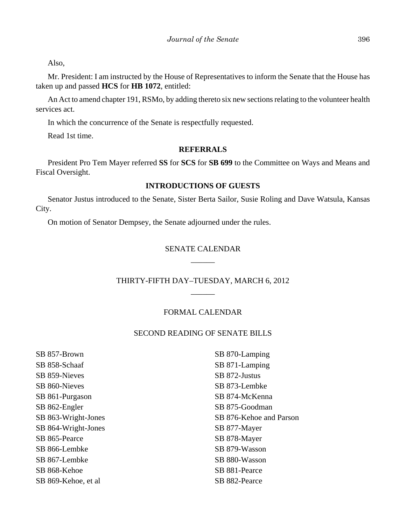Also,

Mr. President: I am instructed by the House of Representatives to inform the Senate that the House has taken up and passed **HCS** for **HB 1072**, entitled:

An Act to amend chapter 191, RSMo, by adding thereto six new sections relating to the volunteer health services act.

In which the concurrence of the Senate is respectfully requested.

Read 1st time.

#### **REFERRALS**

President Pro Tem Mayer referred **SS** for **SCS** for **SB 699** to the Committee on Ways and Means and Fiscal Oversight.

## **INTRODUCTIONS OF GUESTS**

Senator Justus introduced to the Senate, Sister Berta Sailor, Susie Roling and Dave Watsula, Kansas City.

On motion of Senator Dempsey, the Senate adjourned under the rules.

## SENATE CALENDAR  $\overline{\phantom{a}}$

## THIRTY-FIFTH DAY–TUESDAY, MARCH 6, 2012  $\overline{\phantom{a}}$

#### FORMAL CALENDAR

#### SECOND READING OF SENATE BILLS

SB 857-Brown SB 858-Schaaf SB 859-Nieves SB 860-Nieves SB 861-Purgason SB 862-Engler SB 863-Wright-Jones SB 864-Wright-Jones SB 865-Pearce SB 866-Lembke SB 867-Lembke SB 868-Kehoe SB 869-Kehoe, et al

SB 870-Lamping SB 871-Lamping SB 872-Justus SB 873-Lembke SB 874-McKenna SB 875-Goodman SB 876-Kehoe and Parson SB 877-Mayer SB 878-Mayer SB 879-Wasson SB 880-Wasson SB 881-Pearce SB 882-Pearce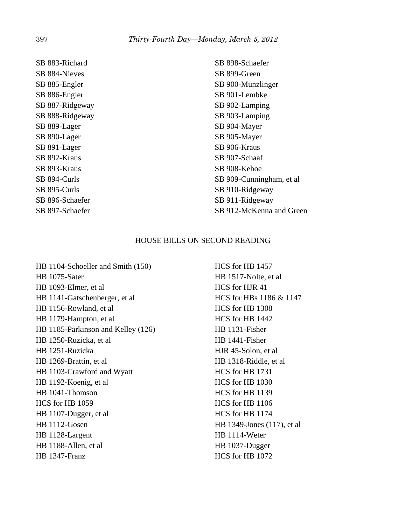SB 883-Richard SB 884-Nieves SB 885-Engler SB 886-Engler SB 887-Ridgeway SB 888-Ridgeway SB 889-Lager SB 890-Lager SB 891-Lager SB 892-Kraus SB 893-Kraus SB 894-Curls SB 895-Curls SB 896-Schaefer SB 897-Schaefer

SB 898-Schaefer SB 899-Green SB 900-Munzlinger SB 901-Lembke SB 902-Lamping SB 903-Lamping SB 904-Mayer SB 905-Mayer SB 906-Kraus SB 907-Schaaf SB 908-Kehoe SB 909-Cunningham, et al SB 910-Ridgeway SB 911-Ridgeway SB 912-McKenna and Green

## HOUSE BILLS ON SECOND READING

HB 1104-Schoeller and Smith (150) HB 1075-Sater HB 1093-Elmer, et al HB 1141-Gatschenberger, et al HB 1156-Rowland, et al HB 1179-Hampton, et al HB 1185-Parkinson and Kelley (126) HB 1250-Ruzicka, et al HB 1251-Ruzicka HB 1269-Brattin, et al HB 1103-Crawford and Wyatt HB 1192-Koenig, et al HB 1041-Thomson HCS for HB 1059 HB 1107-Dugger, et al HB 1112-Gosen HB 1128-Largent HB 1188-Allen, et al HB 1347-Franz

HCS for HB 1457 HB 1517-Nolte, et al HCS for HJR 41 HCS for HBs 1186 & 1147 HCS for HB 1308 HCS for HB 1442 HB 1131-Fisher HB 1441-Fisher HJR 45-Solon, et al HB 1318-Riddle, et al HCS for HB 1731 HCS for HB 1030 HCS for HB 1139 HCS for HB 1106 HCS for HB 1174 HB 1349-Jones (117), et al HB 1114-Weter HB 1037-Dugger HCS for HB 1072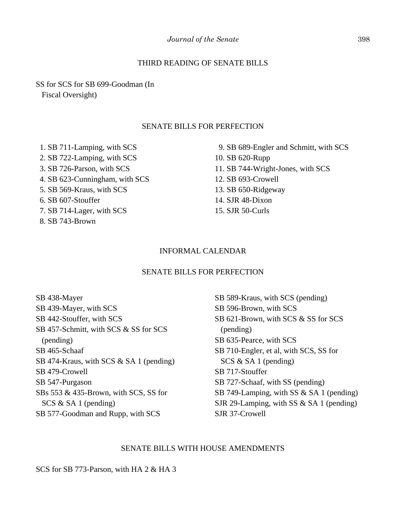## THIRD READING OF SENATE BILLS

SS for SCS for SB 699-Goodman (In Fiscal Oversight)

#### SENATE BILLS FOR PERFECTION

 1. SB 711-Lamping, with SCS 2. SB 722-Lamping, with SCS 3. SB 726-Parson, with SCS 4. SB 623-Cunningham, with SCS 5. SB 569-Kraus, with SCS 6. SB 607-Stouffer 7. SB 714-Lager, with SCS 8. SB 743-Brown

 9. SB 689-Engler and Schmitt, with SCS 10. SB 620-Rupp 11. SB 744-Wright-Jones, with SCS 12. SB 693-Crowell 13. SB 650-Ridgeway 14. SJR 48-Dixon 15. SJR 50-Curls

#### INFORMAL CALENDAR

#### SENATE BILLS FOR PERFECTION

SB 438-Mayer SB 439-Mayer, with SCS SB 442-Stouffer, with SCS SB 457-Schmitt, with SCS & SS for SCS (pending) SB 465-Schaaf SB 474-Kraus, with SCS & SA 1 (pending) SB 479-Crowell SB 547-Purgason SBs 553 & 435-Brown, with SCS, SS for SCS & SA 1 (pending) SB 577-Goodman and Rupp, with SCS

SB 589-Kraus, with SCS (pending) SB 596-Brown, with SCS SB 621-Brown, with SCS & SS for SCS (pending) SB 635-Pearce, with SCS SB 710-Engler, et al, with SCS, SS for SCS & SA 1 (pending) SB 717-Stouffer SB 727-Schaaf, with SS (pending) SB 749-Lamping, with SS & SA 1 (pending) SJR 29-Lamping, with SS & SA 1 (pending) SJR 37-Crowell

#### SENATE BILLS WITH HOUSE AMENDMENTS

SCS for SB 773-Parson, with HA 2 & HA 3